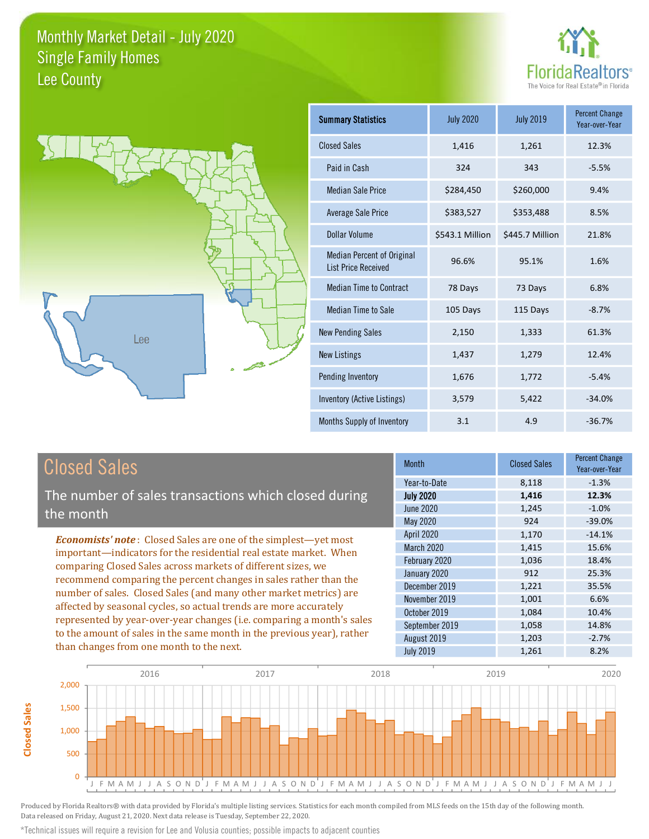



| <b>Summary Statistics</b>                                       | <b>July 2020</b> | <b>July 2019</b> | <b>Percent Change</b><br>Year-over-Year |
|-----------------------------------------------------------------|------------------|------------------|-----------------------------------------|
| <b>Closed Sales</b>                                             | 1,416            | 1,261            | 12.3%                                   |
| Paid in Cash                                                    | 324              | 343              | $-5.5%$                                 |
| <b>Median Sale Price</b>                                        | \$284,450        | \$260,000        | 9.4%                                    |
| <b>Average Sale Price</b>                                       | \$383,527        | \$353,488        | 8.5%                                    |
| Dollar Volume                                                   | \$543.1 Million  | \$445.7 Million  | 21.8%                                   |
| <b>Median Percent of Original</b><br><b>List Price Received</b> | 96.6%            | 95.1%            | 1.6%                                    |
| <b>Median Time to Contract</b>                                  | 78 Days          | 73 Days          | 6.8%                                    |
| <b>Median Time to Sale</b>                                      | 105 Days         | 115 Days         | $-8.7%$                                 |
| <b>New Pending Sales</b>                                        | 2,150            | 1,333            | 61.3%                                   |
| <b>New Listings</b>                                             | 1,437            | 1,279            | 12.4%                                   |
| Pending Inventory                                               | 1,676            | 1,772            | $-5.4%$                                 |
| Inventory (Active Listings)                                     | 3,579            | 5,422            | $-34.0%$                                |
| <b>Months Supply of Inventory</b>                               | 3.1              | 4.9              | $-36.7%$                                |

# **Closed Sales**

**Closed Sales** 

The number of sales transactions which closed during the month

**Economists' note:** Closed Sales are one of the simplest-yet most important-indicators for the residential real estate market. When comparing Closed Sales across markets of different sizes, we recommend comparing the percent changes in sales rather than the number of sales. Closed Sales (and many other market metrics) are affected by seasonal cycles, so actual trends are more accurately represented by year-over-year changes (i.e. comparing a month's sales to the amount of sales in the same month in the previous year), rather than changes from one month to the next.

| <b>Month</b>      | <b>Closed Sales</b> | <b>Percent Change</b><br>Year-over-Year |
|-------------------|---------------------|-----------------------------------------|
| Year-to-Date      | 8,118               | $-1.3%$                                 |
| <b>July 2020</b>  | 1,416               | 12.3%                                   |
| <b>June 2020</b>  | 1,245               | $-1.0%$                                 |
| May 2020          | 924                 | $-39.0%$                                |
| <b>April 2020</b> | 1,170               | $-14.1%$                                |
| March 2020        | 1,415               | 15.6%                                   |
| February 2020     | 1,036               | 18.4%                                   |
| January 2020      | 912                 | 25.3%                                   |
| December 2019     | 1,221               | 35.5%                                   |
| November 2019     | 1,001               | 6.6%                                    |
| October 2019      | 1,084               | 10.4%                                   |
| September 2019    | 1,058               | 14.8%                                   |
| August 2019       | 1,203               | $-2.7%$                                 |
| <b>July 2019</b>  | 1,261               | 8.2%                                    |



Produced by Florida Realtors® with data provided by Florida's multiple listing services. Statistics for each month compiled from MLS feeds on the 15th day of the following month. Data released on Friday, August 21, 2020. Next data release is Tuesday, September 22, 2020.

\*Technical issues will require a revision for Lee and Volusia counties; possible impacts to adjacent counties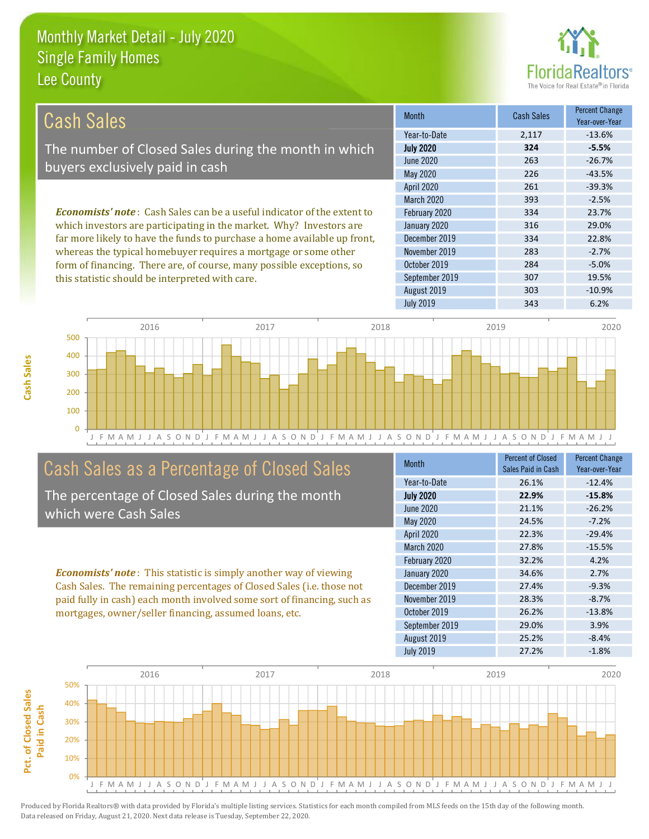this statistic should be interpreted with care.



19.5%

 $-10.9%$ 

| Cash Sales                                                                     | <b>Month</b>      | <b>Cash Sales</b> | <b>Percent Change</b><br>Year-over-Year |
|--------------------------------------------------------------------------------|-------------------|-------------------|-----------------------------------------|
|                                                                                | Year-to-Date      | 2.117             | $-13.6%$                                |
| The number of Closed Sales during the month in which                           | <b>July 2020</b>  | 324               | $-5.5%$                                 |
| buyers exclusively paid in cash                                                | June 2020         | 263               | $-26.7%$                                |
|                                                                                | May 2020          | 226               | $-43.5%$                                |
|                                                                                | <b>April 2020</b> | 261               | $-39.3%$                                |
|                                                                                | <b>March 2020</b> | 393               | $-2.5%$                                 |
| <b>Economists' note:</b> Cash Sales can be a useful indicator of the extent to | February 2020     | 334               | 23.7%                                   |
| which investors are participating in the market. Why? Investors are            | January 2020      | 316               | 29.0%                                   |
| far more likely to have the funds to purchase a home available up front,       | December 2019     | 334               | 22.8%                                   |
| whereas the typical homebuyer requires a mortgage or some other                | November 2019     | 283               | $-2.7%$                                 |
| form of financing. There are, of course, many possible exceptions, so          | October 2019      | 284               | $-5.0%$                                 |

September 2019

August 2019



# Cash Sales as a Percentage of Closed Sales

The percentage of Closed Sales during the month which were Cash Sales

**Economists' note:** This statistic is simply another way of viewing Cash Sales. The remaining percentages of Closed Sales (i.e. those not paid fully in cash) each month involved some sort of financing, such as mortgages, owner/seller financing, assumed loans, etc.

| Month            | <b>Percent of Closed</b><br>Sales Paid in Cash | <b>Percent Change</b><br>Year-over-Year |
|------------------|------------------------------------------------|-----------------------------------------|
| Year-to-Date     | 26.1%                                          | $-12.4%$                                |
| <b>July 2020</b> | 22.9%                                          | $-15.8%$                                |
| <b>June 2020</b> | 21.1%                                          | $-26.2%$                                |
| <b>May 2020</b>  | 24.5%                                          | $-7.2%$                                 |
| April 2020       | 22.3%                                          | $-29.4%$                                |
| March 2020       | 27.8%                                          | $-15.5%$                                |
| February 2020    | 32.2%                                          | 4.2%                                    |
| January 2020     | 34.6%                                          | 2.7%                                    |
| December 2019    | 27.4%                                          | $-9.3%$                                 |
| November 2019    | 28.3%                                          | $-8.7%$                                 |
| October 2019     | 26.2%                                          | $-13.8%$                                |
| September 2019   | 29.0%                                          | 3.9%                                    |
| August 2019      | 25.2%                                          | $-8.4%$                                 |
| <b>July 2019</b> | 27.2%                                          | $-1.8%$                                 |

307

303

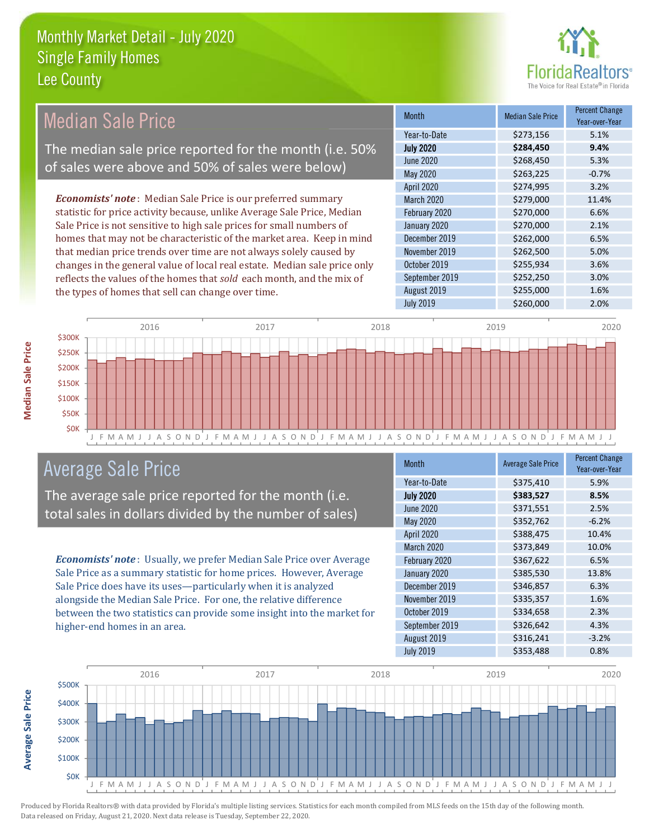

#### **Percent Change Median Sale Price Median Sale Price Month** Year-over-Year Year-to-Date \$273,156 5.1% The median sale price reported for the month (i.e. 50% **July 2020** 9.4% \$284,450 **June 2020**  $5.3%$ \$268,450 of sales were above and 50% of sales were below) May 2020 \$263,225  $-0.7%$ 3.2% April 2020 \$274,995 **Economists' note**: Median Sale Price is our preferred summary **March 2020** \$279,000 11.4% statistic for price activity because, unlike Average Sale Price, Median February 2020 \$270,000 6.6% Sale Price is not sensitive to high sale prices for small numbers of January 2020 \$270,000 2.1% homes that may not be characteristic of the market area. Keep in mind December 2019 \$262,000 6.5% that median price trends over time are not always solely caused by November 2019 \$262,500 5.0% changes in the general value of local real estate. Median sale price only October 2019 \$255,934 3.6% reflects the values of the homes that sold each month, and the mix of September 2019 \$252,250 3.0% August 2019 \$255,000 1.6% the types of homes that sell can change over time. **July 2019** \$260,000 2.0%



## **Average Sale Price**

The average sale price reported for the month (i.e. total sales in dollars divided by the number of sales)

Economists' note: Usually, we prefer Median Sale Price over Average Sale Price as a summary statistic for home prices. However, Average Sale Price does have its uses-particularly when it is analyzed alongside the Median Sale Price. For one, the relative difference between the two statistics can provide some insight into the market for higher-end homes in an area.

| Month            | <b>Average Sale Price</b> | <b>Percent Change</b><br>Year-over-Year |
|------------------|---------------------------|-----------------------------------------|
| Year-to-Date     | \$375,410                 | 5.9%                                    |
| <b>July 2020</b> | \$383,527                 | 8.5%                                    |
| <b>June 2020</b> | \$371,551                 | 2.5%                                    |
| May 2020         | \$352,762                 | $-6.2%$                                 |
| April 2020       | \$388,475                 | 10.4%                                   |
| March 2020       | \$373,849                 | 10.0%                                   |
| February 2020    | \$367,622                 | 6.5%                                    |
| January 2020     | \$385,530                 | 13.8%                                   |
| December 2019    | \$346,857                 | 6.3%                                    |
| November 2019    | \$335,357                 | 1.6%                                    |
| October 2019     | \$334,658                 | 2.3%                                    |
| September 2019   | \$326,642                 | 4.3%                                    |
| August 2019      | \$316,241                 | $-3.2%$                                 |
| <b>July 2019</b> | \$353,488                 | 0.8%                                    |

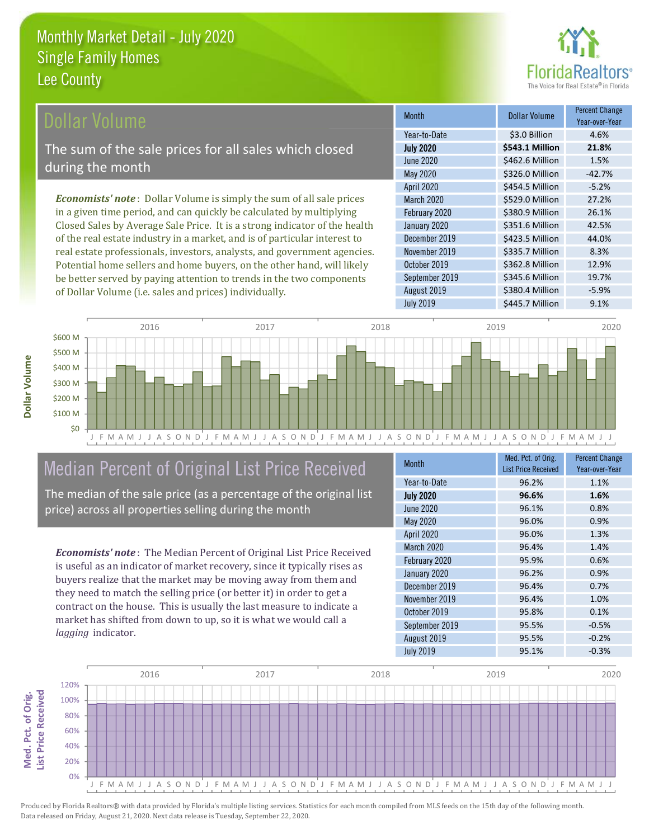

### ollar Volume

The sum of the sale prices for all sales which closed during the month

**Economists' note**: Dollar Volume is simply the sum of all sale prices in a given time period, and can quickly be calculated by multiplying Closed Sales by Average Sale Price. It is a strong indicator of the health of the real estate industry in a market, and is of particular interest to real estate professionals, investors, analysts, and government agencies. Potential home sellers and home buyers, on the other hand, will likely be better served by paying attention to trends in the two components of Dollar Volume (i.e. sales and prices) individually.

| <b>Month</b>     | <b>Dollar Volume</b>  | <b>Percent Change</b><br>Year-over-Year |
|------------------|-----------------------|-----------------------------------------|
| Year-to-Date     | \$3.0 Billion         | 4.6%                                    |
| <b>July 2020</b> | \$543.1 Million       | 21.8%                                   |
| June 2020        | \$462.6 Million       | 1.5%                                    |
| May 2020         | \$326.0 Million       | $-42.7%$                                |
| April 2020       | \$454.5 Million       | $-5.2%$                                 |
| March 2020       | \$529.0 Million       | 27.2%                                   |
| February 2020    | \$380.9 Million       | 26.1%                                   |
| January 2020     | \$351.6 Million       | 42.5%                                   |
| December 2019    | \$423.5 Million       | 44.0%                                   |
| November 2019    | \$335.7 Million       | 8.3%                                    |
| October 2019     | \$362.8 Million       | 12.9%                                   |
| September 2019   | \$345.6 Million       | 19.7%                                   |
| August 2019      | \$380.4 Million       | $-5.9%$                                 |
| <b>July 2010</b> | C115 7 <i>Million</i> | $Q_1 10Z_2$                             |



# Median Percent of Original List Price Received

The median of the sale price (as a percentage of the original list price) across all properties selling during the month

**Economists' note:** The Median Percent of Original List Price Received is useful as an indicator of market recovery, since it typically rises as buyers realize that the market may be moving away from them and they need to match the selling price (or better it) in order to get a contract on the house. This is usually the last measure to indicate a market has shifted from down to up, so it is what we would call a lagging indicator.

| <b>Month</b>     | Med. Pct. of Orig.<br><b>List Price Received</b> | <b>Percent Change</b><br>Year-over-Year |
|------------------|--------------------------------------------------|-----------------------------------------|
| Year-to-Date     | 96.2%                                            | 1.1%                                    |
| <b>July 2020</b> | 96.6%                                            | 1.6%                                    |
| <b>June 2020</b> | 96.1%                                            | 0.8%                                    |
| May 2020         | 96.0%                                            | 0.9%                                    |
| April 2020       | 96.0%                                            | 1.3%                                    |
| March 2020       | 96.4%                                            | 1.4%                                    |
| February 2020    | 95.9%                                            | 0.6%                                    |
| January 2020     | 96.2%                                            | 0.9%                                    |
| December 2019    | 96.4%                                            | 0.7%                                    |
| November 2019    | 96.4%                                            | 1.0%                                    |
| October 2019     | 95.8%                                            | 0.1%                                    |
| September 2019   | 95.5%                                            | $-0.5%$                                 |
| August 2019      | 95.5%                                            | $-0.2%$                                 |
| <b>July 2019</b> | 95.1%                                            | $-0.3%$                                 |

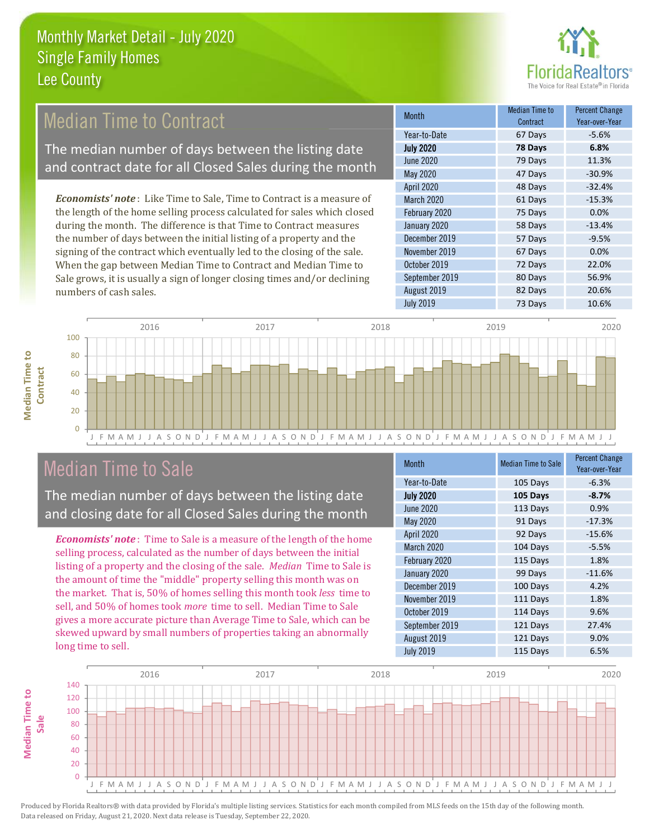

# **Median Time to Contract**

The median number of days between the listing date and contract date for all Closed Sales during the month

**Economists' note:** Like Time to Sale, Time to Contract is a measure of the length of the home selling process calculated for sales which closed during the month. The difference is that Time to Contract measures the number of days between the initial listing of a property and the signing of the contract which eventually led to the closing of the sale. When the gap between Median Time to Contract and Median Time to Sale grows, it is usually a sign of longer closing times and/or declining numbers of cash sales.

| <b>Month</b>      | <b>Median Time to</b><br>Contract | <b>Percent Change</b><br>Year-over-Year |
|-------------------|-----------------------------------|-----------------------------------------|
| Year-to-Date      | 67 Days                           | $-5.6%$                                 |
| <b>July 2020</b>  | 78 Days                           | 6.8%                                    |
| <b>June 2020</b>  | 79 Days                           | 11.3%                                   |
| <b>May 2020</b>   | 47 Days                           | $-30.9%$                                |
| <b>April 2020</b> | 48 Days                           | $-32.4%$                                |
| March 2020        | 61 Days                           | $-15.3%$                                |
| February 2020     | 75 Days                           | 0.0%                                    |
| January 2020      | 58 Days                           | $-13.4%$                                |
| December 2019     | 57 Days                           | $-9.5%$                                 |
| November 2019     | 67 Days                           | 0.0%                                    |
| October 2019      | 72 Days                           | 22.0%                                   |
| September 2019    | 80 Days                           | 56.9%                                   |
| August 2019       | 82 Days                           | 20.6%                                   |
| <b>July 2019</b>  | 73 Days                           | 10.6%                                   |



## **Median Time to Sale**

**Median Time to** 

The median number of days between the listing date and closing date for all Closed Sales during the month

**Economists' note**: Time to Sale is a measure of the length of the home selling process, calculated as the number of days between the initial listing of a property and the closing of the sale. Median Time to Sale is the amount of time the "middle" property selling this month was on the market. That is, 50% of homes selling this month took less time to sell, and 50% of homes took *more* time to sell. Median Time to Sale gives a more accurate picture than Average Time to Sale, which can be skewed upward by small numbers of properties taking an abnormally long time to sell.

| <b>Month</b>     | <b>Median Time to Sale</b> | <b>Percent Change</b><br>Year-over-Year |
|------------------|----------------------------|-----------------------------------------|
| Year-to-Date     | 105 Days                   | $-6.3%$                                 |
| <b>July 2020</b> | 105 Days                   | $-8.7%$                                 |
| <b>June 2020</b> | 113 Days                   | 0.9%                                    |
| May 2020         | 91 Days                    | $-17.3%$                                |
| April 2020       | 92 Days                    | $-15.6%$                                |
| March 2020       | 104 Days                   | $-5.5%$                                 |
| February 2020    | 115 Days                   | 1.8%                                    |
| January 2020     | 99 Days                    | $-11.6%$                                |
| December 2019    | 100 Days                   | 4.2%                                    |
| November 2019    | 111 Days                   | 1.8%                                    |
| October 2019     | 114 Days                   | 9.6%                                    |
| September 2019   | 121 Days                   | 27.4%                                   |
| August 2019      | 121 Days                   | 9.0%                                    |
| <b>July 2019</b> | 115 Days                   | 6.5%                                    |

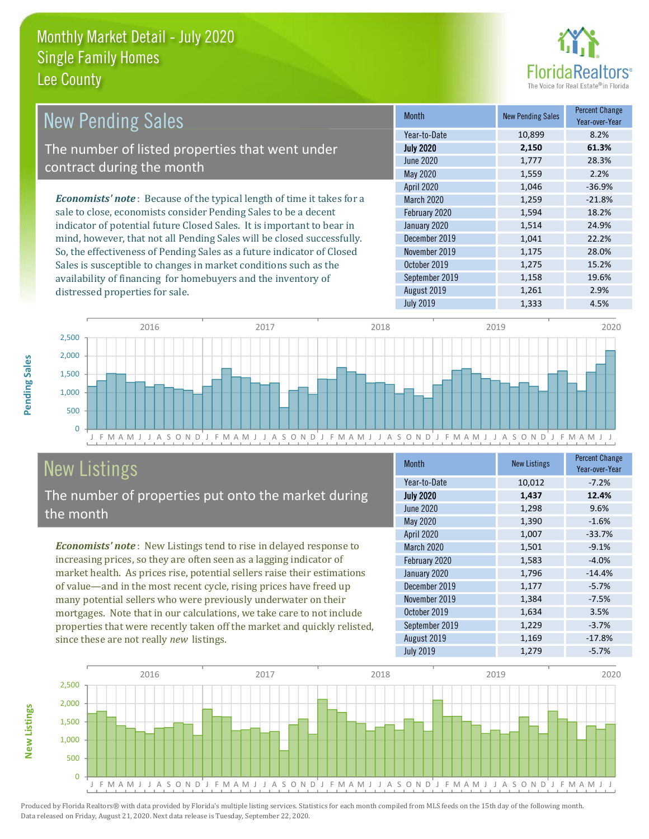distressed properties for sale.



19.6%

2.9%

4.5%

| <b>New Pending Sales</b>                                                       | <b>Month</b>      | <b>New Pending Sales</b> | <b>Percent Change</b><br>Year-over-Year |
|--------------------------------------------------------------------------------|-------------------|--------------------------|-----------------------------------------|
|                                                                                | Year-to-Date      | 10,899                   | 8.2%                                    |
| The number of listed properties that went under                                | <b>July 2020</b>  | 2,150                    | 61.3%                                   |
| contract during the month                                                      | June 2020         | 1,777                    | 28.3%                                   |
|                                                                                | May 2020          | 1,559                    | 2.2%                                    |
|                                                                                | <b>April 2020</b> | 1,046                    | $-36.9%$                                |
| <b>Economists' note</b> : Because of the typical length of time it takes for a | <b>March 2020</b> | 1,259                    | $-21.8%$                                |
| sale to close, economists consider Pending Sales to be a decent                | February 2020     | 1,594                    | 18.2%                                   |
| indicator of potential future Closed Sales. It is important to bear in         | January 2020      | 1,514                    | 24.9%                                   |
| mind, however, that not all Pending Sales will be closed successfully.         | December 2019     | 1,041                    | 22.2%                                   |
| So, the effectiveness of Pending Sales as a future indicator of Closed         | November 2019     | 1,175                    | 28.0%                                   |
| Sales is susceptible to changes in market conditions such as the               | October 2019      | 1,275                    | 15.2%                                   |

September 2019

August 2019

**July 2019** 

2016 2017 2018 2019 2020 2,500 2,000 1,500 1,000 500  $\overline{0}$ FMAMJ J A S O N D J F M A M J J A S O N D J F M A M J J A S O N D J F M A M A M J J A S O N D J F M A M J J  $\mathbf{J}$ 

# **New Listings**

The number of properties put onto the market during the month

availability of financing for homebuyers and the inventory of

Economists' note: New Listings tend to rise in delayed response to increasing prices, so they are often seen as a lagging indicator of market health. As prices rise, potential sellers raise their estimations of value—and in the most recent cycle, rising prices have freed up many potential sellers who were previously underwater on their mortgages. Note that in our calculations, we take care to not include properties that were recently taken off the market and quickly relisted, since these are not really new listings.

| <b>Month</b>      | <b>New Listings</b> | <b>Percent Change</b><br>Year-over-Year |
|-------------------|---------------------|-----------------------------------------|
| Year-to-Date      | 10,012              | $-7.2%$                                 |
| <b>July 2020</b>  | 1,437               | 12.4%                                   |
| June 2020         | 1,298               | 9.6%                                    |
| May 2020          | 1,390               | $-1.6%$                                 |
| April 2020        | 1,007               | $-33.7%$                                |
| <b>March 2020</b> | 1,501               | $-9.1%$                                 |
| February 2020     | 1,583               | $-4.0%$                                 |
| January 2020      | 1,796               | $-14.4%$                                |
| December 2019     | 1,177               | $-5.7%$                                 |
| November 2019     | 1,384               | $-7.5%$                                 |
| October 2019      | 1,634               | 3.5%                                    |
| September 2019    | 1,229               | $-3.7%$                                 |
| August 2019       | 1,169               | $-17.8%$                                |
| <b>July 2019</b>  | 1,279               | $-5.7%$                                 |

1,158

1,261

1,333



Produced by Florida Realtors® with data provided by Florida's multiple listing services. Statistics for each month compiled from MLS feeds on the 15th day of the following month. Data released on Friday, August 21, 2020. Next data release is Tuesday, September 22, 2020.

**New Listings**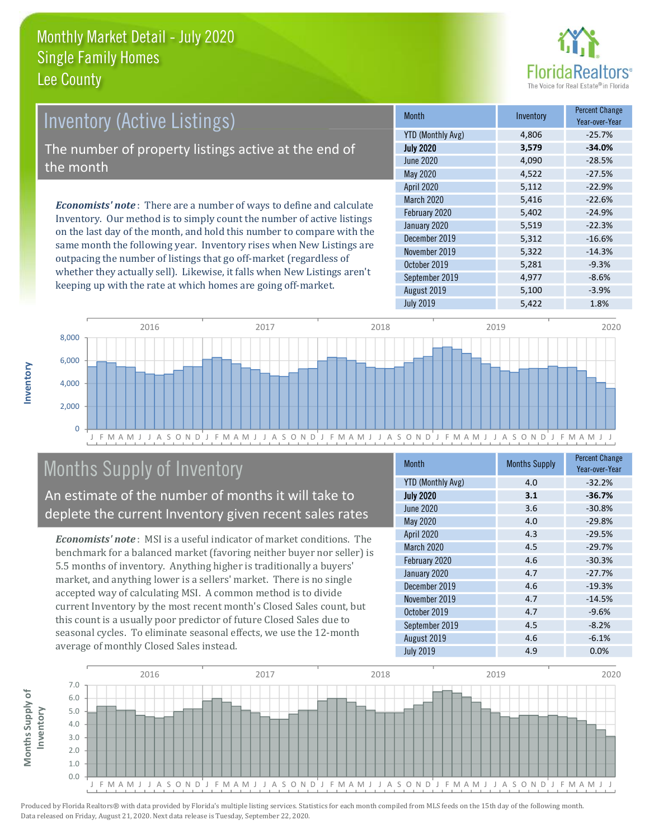

# **Inventory (Active Listings)**

The number of property listings active at the end of the month

**Economists' note**: There are a number of ways to define and calculate Inventory. Our method is to simply count the number of active listings on the last day of the month, and hold this number to compare with the same month the following year. Inventory rises when New Listings are outpacing the number of listings that go off-market (regardless of whether they actually sell). Likewise, it falls when New Listings aren't keeping up with the rate at which homes are going off-market.

| <b>Month</b>             | Inventory | <b>Percent Change</b><br>Year-over-Year |
|--------------------------|-----------|-----------------------------------------|
| <b>YTD (Monthly Avg)</b> | 4,806     | $-25.7%$                                |
| <b>July 2020</b>         | 3,579     | $-34.0%$                                |
| <b>June 2020</b>         | 4,090     | $-28.5%$                                |
| May 2020                 | 4,522     | $-27.5%$                                |
| April 2020               | 5,112     | $-22.9%$                                |
| March 2020               | 5,416     | $-22.6%$                                |
| February 2020            | 5,402     | $-24.9%$                                |
| January 2020             | 5,519     | $-22.3%$                                |
| December 2019            | 5,312     | $-16.6%$                                |
| November 2019            | 5,322     | $-14.3%$                                |
| October 2019             | 5,281     | $-9.3%$                                 |
| September 2019           | 4,977     | $-8.6%$                                 |
| August 2019              | 5,100     | $-3.9%$                                 |
| <b>July 2019</b>         | 5,422     | 1.8%                                    |



# Months Supply of Inventory

An estimate of the number of months it will take to deplete the current Inventory given recent sales rates

**Economists' note:** MSI is a useful indicator of market conditions. The benchmark for a balanced market (favoring neither buyer nor seller) is 5.5 months of inventory. Anything higher is traditionally a buyers' market, and anything lower is a sellers' market. There is no single accepted way of calculating MSI. A common method is to divide current Inventory by the most recent month's Closed Sales count, but this count is a usually poor predictor of future Closed Sales due to seasonal cycles. To eliminate seasonal effects, we use the 12-month average of monthly Closed Sales instead.

| <b>Month</b>             | <b>Months Supply</b> | <b>Percent Change</b><br>Year-over-Year |
|--------------------------|----------------------|-----------------------------------------|
| <b>YTD (Monthly Avg)</b> | 4.0                  | $-32.2%$                                |
| <b>July 2020</b>         | 3.1                  | $-36.7%$                                |
| <b>June 2020</b>         | 3.6                  | $-30.8%$                                |
| <b>May 2020</b>          | 4.0                  | $-29.8%$                                |
| April 2020               | 4.3                  | $-29.5%$                                |
| March 2020               | 4.5                  | $-29.7%$                                |
| February 2020            | 4.6                  | $-30.3%$                                |
| January 2020             | 4.7                  | $-27.7%$                                |
| December 2019            | 4.6                  | $-19.3%$                                |
| November 2019            | 4.7                  | $-14.5%$                                |
| October 2019             | 4.7                  | $-9.6%$                                 |
| September 2019           | 4.5                  | $-8.2%$                                 |
| August 2019              | 4.6                  | $-6.1%$                                 |
| <b>July 2019</b>         | 4.9                  | 0.0%                                    |

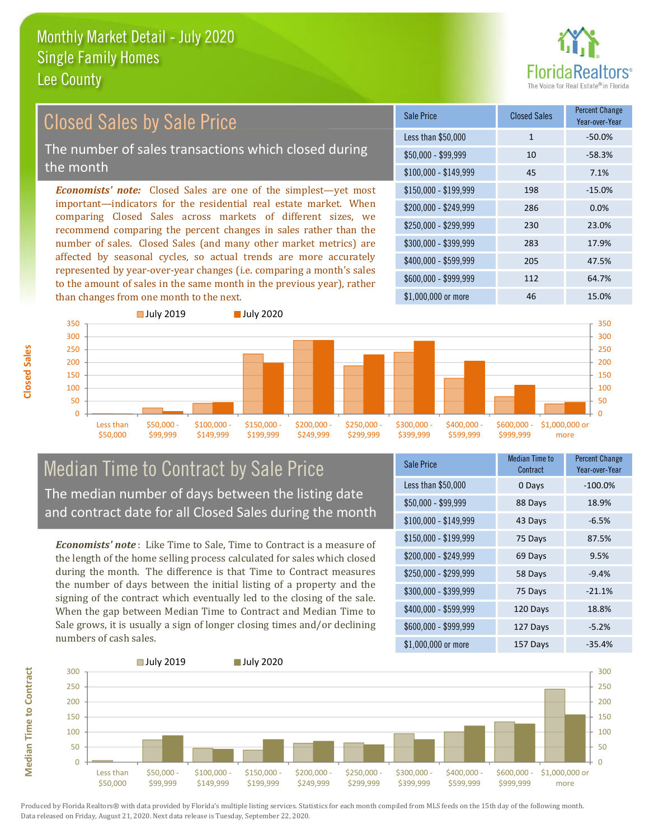

#### **Percent Change Closed Sales by Sale Price Closed Sales Sale Price** Year-over-Year Less than \$50,000  $-50.0%$  $\mathbf{1}$ The number of sales transactions which closed during  $$50.000 - $99.999$  $10$  $-58.3%$ the month 45  $$100,000 - $149,999$ 7.1% **Economists' note:** Closed Sales are one of the simplest—yet most \$150,000 - \$199.999 198  $-15.0%$ important-indicators for the residential real estate market. When \$200.000 - \$249.999 286  $0.0%$ comparing Closed Sales across markets of different sizes, we \$250,000 - \$299.999 230 23.0% recommend comparing the percent changes in sales rather than the number of sales. Closed Sales (and many other market metrics) are \$300,000 - \$399,999 283 17.9% affected by seasonal cycles, so actual trends are more accurately \$400,000 - \$599,999 205 47.5% represented by year-over-year changes (i.e. comparing a month's sales \$600.000 - \$999.999 112 64.7% to the amount of sales in the same month in the previous year), rather



### **Median Time to Contract by Sale Price** The median number of days between the listing date and contract date for all Closed Sales during the month

**Economists' note**: Like Time to Sale. Time to Contract is a measure of the length of the home selling process calculated for sales which closed during the month. The difference is that Time to Contract measures the number of days between the initial listing of a property and the signing of the contract which eventually led to the closing of the sale. When the gap between Median Time to Contract and Median Time to Sale grows, it is usually a sign of longer closing times and/or declining numbers of cash sales.

| <b>Sale Price</b>     | <b>Median Time to</b><br>Contract | <b>Percent Change</b><br>Year-over-Year |
|-----------------------|-----------------------------------|-----------------------------------------|
| Less than \$50,000    | 0 Days                            | $-100.0%$                               |
| $$50,000 - $99,999$   | 88 Days                           | 18.9%                                   |
| $$100,000 - $149,999$ | 43 Days                           | $-6.5%$                                 |
| \$150,000 - \$199,999 | 75 Days                           | 87.5%                                   |
| \$200,000 - \$249,999 | 69 Days                           | 9.5%                                    |
| \$250,000 - \$299,999 | 58 Days                           | $-9.4%$                                 |
| \$300,000 - \$399,999 | 75 Days                           | $-21.1%$                                |
| \$400,000 - \$599,999 | 120 Days                          | 18.8%                                   |
| \$600,000 - \$999,999 | 127 Days                          | $-5.2%$                                 |
| \$1,000,000 or more   | 157 Davs                          | $-35.4%$                                |



Produced by Florida Realtors® with data provided by Florida's multiple listing services. Statistics for each month compiled from MLS feeds on the 15th day of the following month. Data released on Friday, August 21, 2020. Next data release is Tuesday, September 22, 2020.

**Median Time to Contract**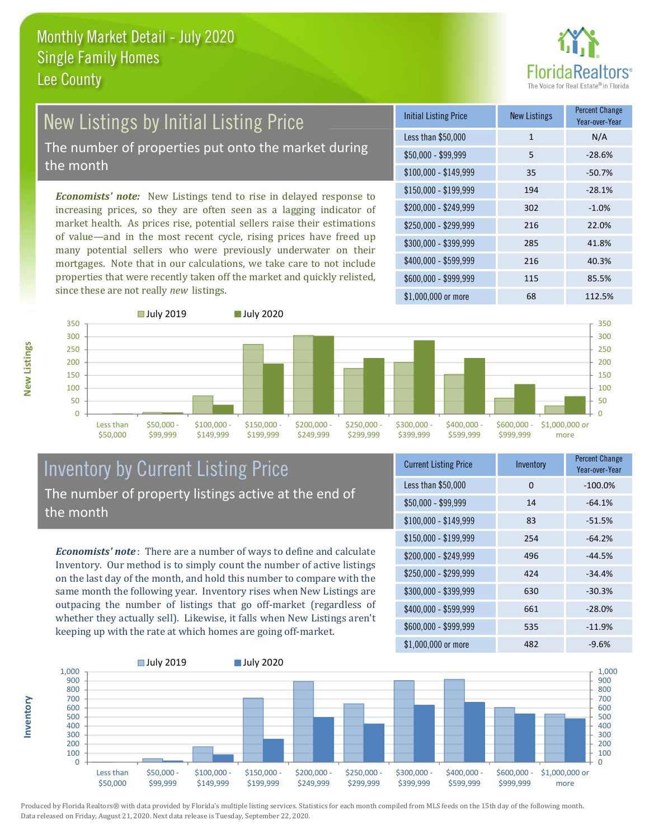

# **New Listings by Initial Listing Price** The number of properties put onto the market during

the month

Economists' note: New Listings tend to rise in delayed response to increasing prices, so they are often seen as a lagging indicator of market health. As prices rise, potential sellers raise their estimations of value—and in the most recent cycle, rising prices have freed up many potential sellers who were previously underwater on their mortgages. Note that in our calculations, we take care to not include properties that were recently taken off the market and quickly relisted, since these are not really new listings.

| <b>Initial Listing Price</b> | <b>New Listings</b> | <b>Percent Change</b><br>Year-over-Year |
|------------------------------|---------------------|-----------------------------------------|
| Less than \$50,000           | $\mathbf{1}$        | N/A                                     |
| $$50,000 - $99,999$          | 5                   | $-28.6%$                                |
| $$100,000 - $149,999$        | 35                  | $-50.7%$                                |
| $$150,000 - $199,999$        | 194                 | $-28.1%$                                |
| \$200,000 - \$249,999        | 302                 | $-1.0%$                                 |
| \$250,000 - \$299,999        | 216                 | 22.0%                                   |
| \$300,000 - \$399,999        | 285                 | 41.8%                                   |
| \$400,000 - \$599,999        | 216                 | 40.3%                                   |
| \$600,000 - \$999,999        | 115                 | 85.5%                                   |
| \$1,000,000 or more          | 68                  | 112.5%                                  |



#### **Inventory by Current Listing Price** The number of property listings active at the end of the month

**Economists' note**: There are a number of ways to define and calculate Inventory. Our method is to simply count the number of active listings on the last day of the month, and hold this number to compare with the same month the following year. Inventory rises when New Listings are outpacing the number of listings that go off-market (regardless of whether they actually sell). Likewise, it falls when New Listings aren't keeping up with the rate at which homes are going off-market.

| <b>Current Listing Price</b> | Inventory | <b>Percent Griange</b><br>Year-over-Year |
|------------------------------|-----------|------------------------------------------|
| Less than \$50,000           | 0         | $-100.0%$                                |
| $$50,000 - $99,999$          | 14        | $-64.1%$                                 |
| $$100,000 - $149,999$        | 83        | $-51.5%$                                 |
| $$150,000 - $199,999$        | 254       | $-64.2%$                                 |
| \$200,000 - \$249,999        | 496       | $-44.5%$                                 |
| \$250,000 - \$299,999        | 424       | $-34.4%$                                 |
| \$300,000 - \$399,999        | 630       | $-30.3%$                                 |
| \$400,000 - \$599,999        | 661       | $-28.0%$                                 |
| \$600,000 - \$999,999        | 535       | $-11.9%$                                 |
| ዩ1 በበበ በበበ or more           | 482       | $-9.6\%$                                 |



Produced by Florida Realtors® with data provided by Florida's multiple listing services. Statistics for each month compiled from MLS feeds on the 15th day of the following month. Data released on Friday, August 21, 2020. Next data release is Tuesday, September 22, 2020.

nventory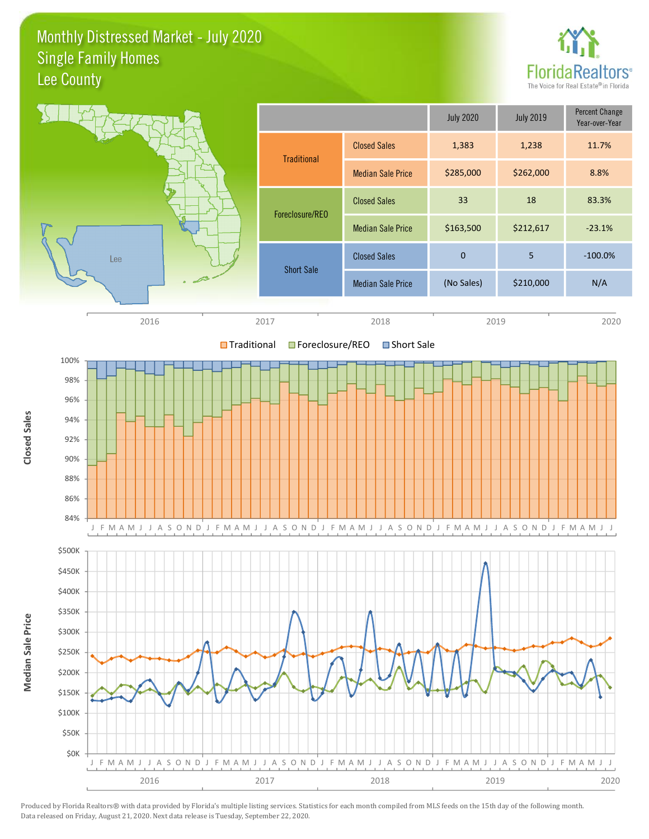Monthly Distressed Market - July 2020 **Single Family Homes** Lee County



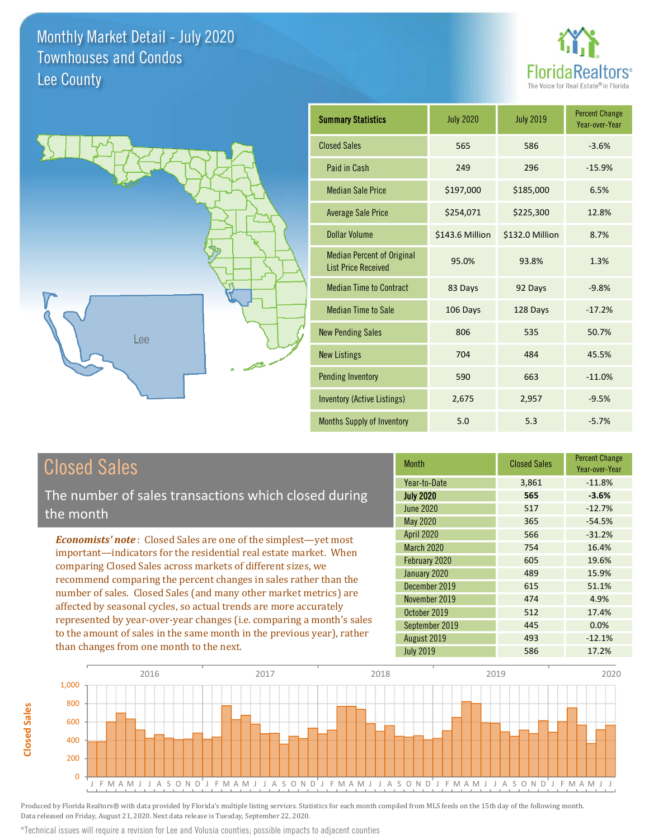



| <b>Summary Statistics</b>                                       | <b>July 2020</b> | <b>July 2019</b> | <b>Percent Change</b><br>Year-over-Year |
|-----------------------------------------------------------------|------------------|------------------|-----------------------------------------|
| <b>Closed Sales</b>                                             | 565              | 586              | $-3.6%$                                 |
| Paid in Cash                                                    | 249              | 296              | $-15.9%$                                |
| <b>Median Sale Price</b>                                        | \$197,000        | \$185,000        | 6.5%                                    |
| <b>Average Sale Price</b>                                       | \$254,071        | \$225,300        | 12.8%                                   |
| Dollar Volume                                                   | \$143.6 Million  | \$132.0 Million  | 8.7%                                    |
| <b>Median Percent of Original</b><br><b>List Price Received</b> | 95.0%            | 93.8%            | 1.3%                                    |
| <b>Median Time to Contract</b>                                  | 83 Days          | 92 Days          | $-9.8%$                                 |
| <b>Median Time to Sale</b>                                      | 106 Days         | 128 Days         | $-17.2%$                                |
| <b>New Pending Sales</b>                                        | 806              | 535              | 50.7%                                   |
| <b>New Listings</b>                                             | 704              | 484              | 45.5%                                   |
| <b>Pending Inventory</b>                                        | 590              | 663              | $-11.0%$                                |
| Inventory (Active Listings)                                     | 2,675            | 2,957            | $-9.5%$                                 |
| Months Supply of Inventory                                      | 5.0              | 5.3              | $-5.7%$                                 |

# **Closed Sales**

**Closed Sales** 

The number of sales transactions which closed during the month

**Economists' note:** Closed Sales are one of the simplest-yet most important-indicators for the residential real estate market. When comparing Closed Sales across markets of different sizes, we recommend comparing the percent changes in sales rather than the number of sales. Closed Sales (and many other market metrics) are affected by seasonal cycles, so actual trends are more accurately represented by year-over-year changes (i.e. comparing a month's sales to the amount of sales in the same month in the previous year), rather than changes from one month to the next.

| <b>Month</b>      | <b>Closed Sales</b> | <b>Percent Change</b><br>Year-over-Year |
|-------------------|---------------------|-----------------------------------------|
| Year-to-Date      | 3,861               | $-11.8%$                                |
| <b>July 2020</b>  | 565                 | $-3.6%$                                 |
| June 2020         | 517                 | $-12.7%$                                |
| May 2020          | 365                 | $-54.5%$                                |
| <b>April 2020</b> | 566                 | $-31.2%$                                |
| <b>March 2020</b> | 754                 | 16.4%                                   |
| February 2020     | 605                 | 19.6%                                   |
| January 2020      | 489                 | 15.9%                                   |
| December 2019     | 615                 | 51.1%                                   |
| November 2019     | 474                 | 4.9%                                    |
| October 2019      | 512                 | 17.4%                                   |
| September 2019    | 445                 | 0.0%                                    |
| August 2019       | 493                 | $-12.1%$                                |
| <b>July 2019</b>  | 586                 | 17.2%                                   |



Produced by Florida Realtors® with data provided by Florida's multiple listing services. Statistics for each month compiled from MLS feeds on the 15th day of the following month. Data released on Friday, August 21, 2020. Next data release is Tuesday, September 22, 2020.

\*Technical issues will require a revision for Lee and Volusia counties; possible impacts to adjacent counties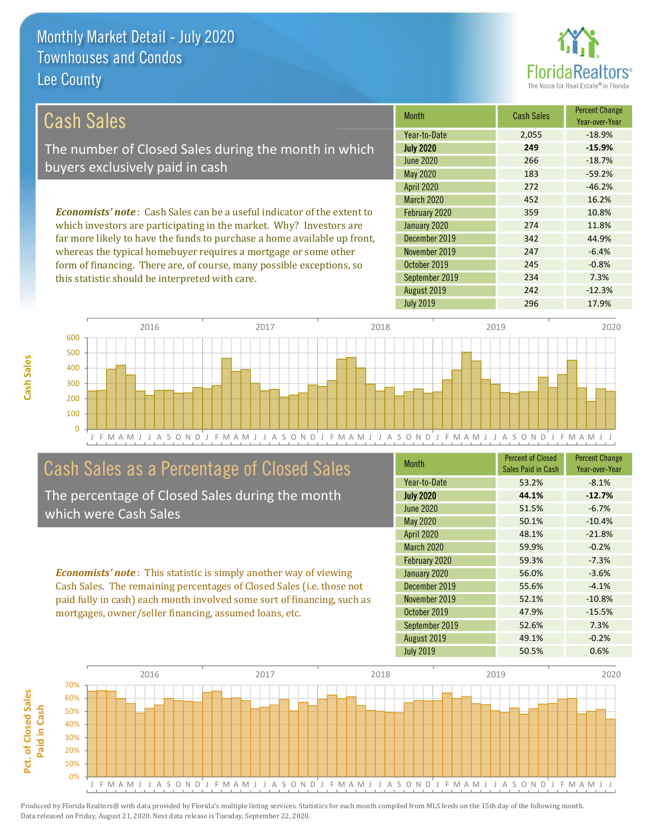

 $-0.8%$ 

7.3%

 $-12.3%$ 

17.9%

| Cash Sales                                                                     | <b>Month</b>      | <b>Cash Sales</b> | <b>Percent Change</b><br>Year-over-Year |
|--------------------------------------------------------------------------------|-------------------|-------------------|-----------------------------------------|
|                                                                                | Year-to-Date      | 2,055             | $-18.9%$                                |
| The number of Closed Sales during the month in which                           | <b>July 2020</b>  | 249               | $-15.9%$                                |
| buyers exclusively paid in cash                                                | June 2020         | 266               | $-18.7%$                                |
|                                                                                | May 2020          | 183               | $-59.2%$                                |
|                                                                                | <b>April 2020</b> | 272               | $-46.2%$                                |
|                                                                                | March 2020        | 452               | 16.2%                                   |
| <b>Economists' note:</b> Cash Sales can be a useful indicator of the extent to | February 2020     | 359               | 10.8%                                   |
| which investors are participating in the market. Why? Investors are            | January 2020      | 274               | 11.8%                                   |
| far more likely to have the funds to purchase a home available up front,       | December 2019     | 342               | 44.9%                                   |
| whereas the typical homebuyer requires a mortgage or some other                | November 2019     | 247               | $-6.4%$                                 |

October 2019

August 2019

**July 2019** 

September 2019

2016 2017 2018 2019 2020 600 500 400 300 200 100  $\overline{0}$ J F M A M J J A S O N D  $J$ FMAMJJA S O N D J F M A M J J A S O N D J F M A M J J A S O N D J F M A M J J

# Cash Sales as a Percentage of Closed Sales

form of financing. There are, of course, many possible exceptions, so

this statistic should be interpreted with care.

The percentage of Closed Sales during the month which were Cash Sales

**Economists' note:** This statistic is simply another way of viewing Cash Sales. The remaining percentages of Closed Sales (i.e. those not paid fully in cash) each month involved some sort of financing, such as mortgages, owner/seller financing, assumed loans, etc.

| <b>Month</b>      | <b>Percent of Closed</b><br>Sales Paid in Cash | <b>Percent Change</b><br>Year-over-Year |
|-------------------|------------------------------------------------|-----------------------------------------|
| Year-to-Date      | 53.2%                                          | $-8.1%$                                 |
| <b>July 2020</b>  | 44.1%                                          | $-12.7%$                                |
| <b>June 2020</b>  | 51.5%                                          | $-6.7%$                                 |
| <b>May 2020</b>   | 50.1%                                          | $-10.4%$                                |
| <b>April 2020</b> | 48.1%                                          | $-21.8%$                                |
| March 2020        | 59.9%                                          | $-0.2%$                                 |
| February 2020     | 59.3%                                          | $-7.3%$                                 |
| January 2020      | 56.0%                                          | $-3.6%$                                 |
| December 2019     | 55.6%                                          | $-4.1%$                                 |
| November 2019     | 52.1%                                          | $-10.8%$                                |
| October 2019      | 47.9%                                          | $-15.5%$                                |
| September 2019    | 52.6%                                          | 7.3%                                    |
| August 2019       | 49.1%                                          | $-0.2%$                                 |
| <b>July 2019</b>  | 50.5%                                          | 0.6%                                    |

245

234

242

296

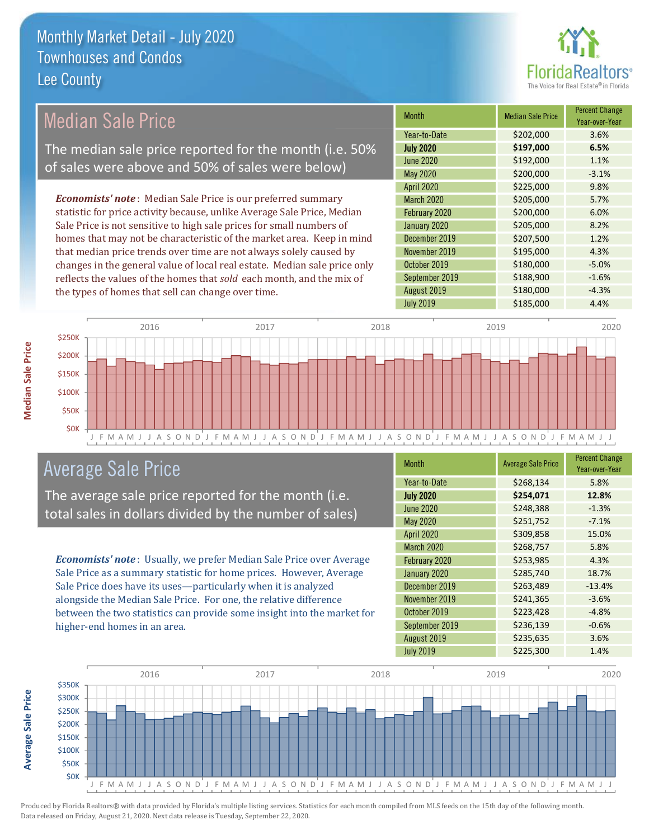

# **Median Sale Price**

The median sale price reported for the month (i.e. 50% of sales were above and 50% of sales were below)

**Economists' note:** Median Sale Price is our preferred summary statistic for price activity because, unlike Average Sale Price, Median Sale Price is not sensitive to high sale prices for small numbers of homes that may not be characteristic of the market area. Keep in mind that median price trends over time are not always solely caused by changes in the general value of local real estate. Median sale price only reflects the values of the homes that sold each month, and the mix of the types of homes that sell can change over time.

| <b>Month</b>      | <b>Median Sale Price</b> | <b>Percent Change</b><br>Year-over-Year |
|-------------------|--------------------------|-----------------------------------------|
| Year-to-Date      | \$202,000                | 3.6%                                    |
| <b>July 2020</b>  | \$197,000                | 6.5%                                    |
| <b>June 2020</b>  | \$192,000                | 1.1%                                    |
| <b>May 2020</b>   | \$200,000                | $-3.1%$                                 |
| <b>April 2020</b> | \$225,000                | 9.8%                                    |
| <b>March 2020</b> | \$205,000                | 5.7%                                    |
| February 2020     | \$200,000                | 6.0%                                    |
| January 2020      | \$205,000                | 8.2%                                    |
| December 2019     | \$207,500                | 1.2%                                    |
| November 2019     | \$195,000                | 4.3%                                    |
| October 2019      | \$180,000                | $-5.0%$                                 |
| September 2019    | \$188,900                | $-1.6%$                                 |
| August 2019       | \$180,000                | $-4.3%$                                 |
| <b>July 2019</b>  | \$185,000                | 4.4%                                    |



## **Average Sale Price**

The average sale price reported for the month (i.e. total sales in dollars divided by the number of sales)

Economists' note: Usually, we prefer Median Sale Price over Average Sale Price as a summary statistic for home prices. However, Average Sale Price does have its uses-particularly when it is analyzed alongside the Median Sale Price. For one, the relative difference between the two statistics can provide some insight into the market for higher-end homes in an area.

| <b>Month</b>      | <b>Average Sale Price</b> | <b>Percent Change</b><br>Year-over-Year |
|-------------------|---------------------------|-----------------------------------------|
| Year-to-Date      | \$268,134                 | 5.8%                                    |
| <b>July 2020</b>  | \$254,071                 | 12.8%                                   |
| <b>June 2020</b>  | \$248,388                 | $-1.3%$                                 |
| <b>May 2020</b>   | \$251,752                 | $-7.1%$                                 |
| <b>April 2020</b> | \$309,858                 | 15.0%                                   |
| March 2020        | \$268,757                 | 5.8%                                    |
| February 2020     | \$253,985                 | 4.3%                                    |
| January 2020      | \$285,740                 | 18.7%                                   |
| December 2019     | \$263,489                 | $-13.4%$                                |
| November 2019     | \$241,365                 | $-3.6%$                                 |
| October 2019      | \$223,428                 | $-4.8%$                                 |
| September 2019    | \$236,139                 | $-0.6%$                                 |
| August 2019       | \$235,635                 | 3.6%                                    |
| <b>July 2019</b>  | \$225,300                 | 1.4%                                    |



**Average Sale Price**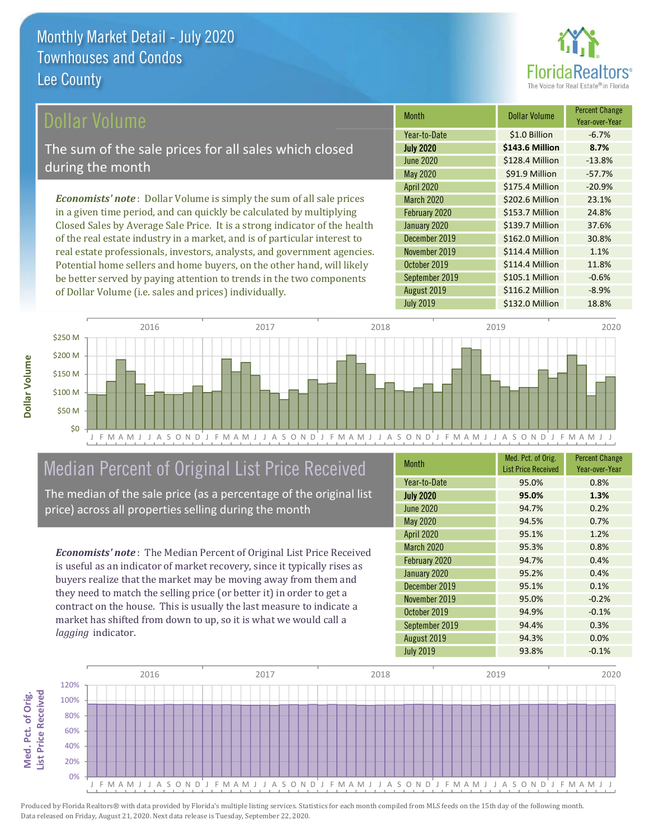

#### ollar Volume

The sum of the sale prices for all sales which closed during the month

**Economists' note**: Dollar Volume is simply the sum of all sale prices in a given time period, and can quickly be calculated by multiplying Closed Sales by Average Sale Price. It is a strong indicator of the health of the real estate industry in a market, and is of particular interest to real estate professionals, investors, analysts, and government agencies. Potential home sellers and home buyers, on the other hand, will likely be better served by paying attention to trends in the two components of Dollar Volume (i.e. sales and prices) individually.

| <b>Month</b>      | <b>Dollar Volume</b> | <b>Percent Change</b><br>Year-over-Year |
|-------------------|----------------------|-----------------------------------------|
| Year-to-Date      | \$1.0 Billion        | $-6.7%$                                 |
| <b>July 2020</b>  | \$143.6 Million      | 8.7%                                    |
| <b>June 2020</b>  | \$128.4 Million      | $-13.8%$                                |
| <b>May 2020</b>   | \$91.9 Million       | $-57.7%$                                |
| <b>April 2020</b> | \$175.4 Million      | $-20.9%$                                |
| <b>March 2020</b> | \$202.6 Million      | 23.1%                                   |
| February 2020     | \$153.7 Million      | 24.8%                                   |
| January 2020      | \$139.7 Million      | 37.6%                                   |
| December 2019     | \$162.0 Million      | 30.8%                                   |
| November 2019     | \$114.4 Million      | 1.1%                                    |
| October 2019      | \$114.4 Million      | 11.8%                                   |
| September 2019    | \$105.1 Million      | $-0.6%$                                 |
| August 2019       | \$116.2 Million      | $-8.9%$                                 |
| <b>July 2019</b>  | \$132.0 Million      | 18.8%                                   |



# Median Percent of Original List Price Received

The median of the sale price (as a percentage of the original list price) across all properties selling during the month

**Economists' note:** The Median Percent of Original List Price Received is useful as an indicator of market recovery, since it typically rises as buyers realize that the market may be moving away from them and they need to match the selling price (or better it) in order to get a contract on the house. This is usually the last measure to indicate a market has shifted from down to up, so it is what we would call a lagging indicator.

| <b>Month</b>      | Med. Pct. of Orig.<br><b>List Price Received</b> | <b>Percent Change</b><br>Year-over-Year |
|-------------------|--------------------------------------------------|-----------------------------------------|
| Year-to-Date      | 95.0%                                            | 0.8%                                    |
| <b>July 2020</b>  | 95.0%                                            | 1.3%                                    |
| <b>June 2020</b>  | 94.7%                                            | 0.2%                                    |
| <b>May 2020</b>   | 94.5%                                            | 0.7%                                    |
| <b>April 2020</b> | 95.1%                                            | 1.2%                                    |
| <b>March 2020</b> | 95.3%                                            | 0.8%                                    |
| February 2020     | 94.7%                                            | 0.4%                                    |
| January 2020      | 95.2%                                            | 0.4%                                    |
| December 2019     | 95.1%                                            | 0.1%                                    |
| November 2019     | 95.0%                                            | $-0.2%$                                 |
| October 2019      | 94.9%                                            | $-0.1%$                                 |
| September 2019    | 94.4%                                            | 0.3%                                    |
| August 2019       | 94.3%                                            | 0.0%                                    |
| <b>July 2019</b>  | 93.8%                                            | $-0.1%$                                 |

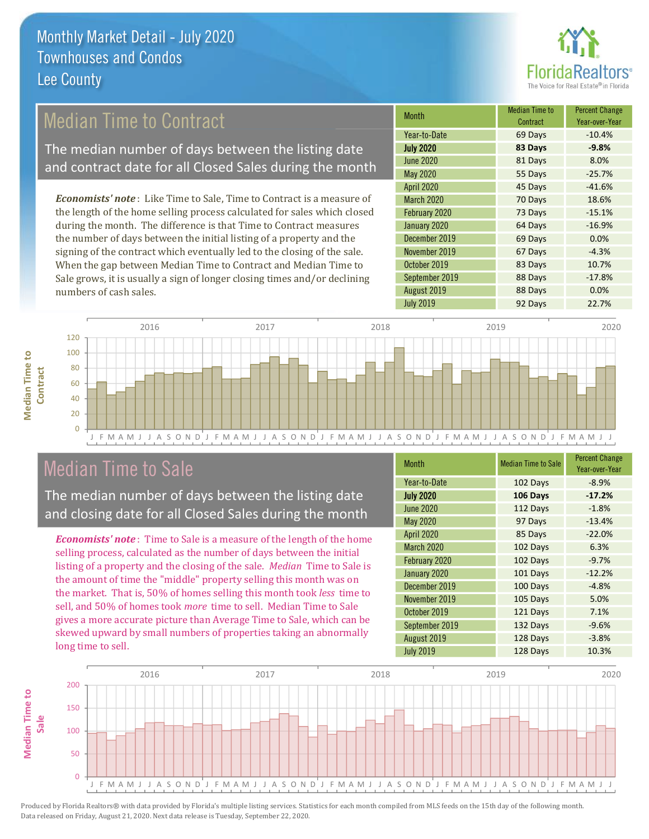

# **Median Time to Contract**

The median number of days between the listing date and contract date for all Closed Sales during the month

**Economists' note:** Like Time to Sale, Time to Contract is a measure of the length of the home selling process calculated for sales which closed during the month. The difference is that Time to Contract measures the number of days between the initial listing of a property and the signing of the contract which eventually led to the closing of the sale. When the gap between Median Time to Contract and Median Time to Sale grows, it is usually a sign of longer closing times and/or declining numbers of cash sales.

| <b>Month</b>      | <b>Median Time to</b><br>Contract | <b>Percent Change</b><br>Year-over-Year |
|-------------------|-----------------------------------|-----------------------------------------|
| Year-to-Date      | 69 Days                           | $-10.4%$                                |
| <b>July 2020</b>  | 83 Days                           | $-9.8%$                                 |
| <b>June 2020</b>  | 81 Days                           | 8.0%                                    |
| <b>May 2020</b>   | 55 Days                           | $-25.7%$                                |
| <b>April 2020</b> | 45 Days                           | $-41.6%$                                |
| <b>March 2020</b> | 70 Days                           | 18.6%                                   |
| February 2020     | 73 Days                           | $-15.1%$                                |
| January 2020      | 64 Days                           | $-16.9%$                                |
| December 2019     | 69 Days                           | 0.0%                                    |
| November 2019     | 67 Days                           | $-4.3%$                                 |
| October 2019      | 83 Days                           | 10.7%                                   |
| September 2019    | 88 Days                           | $-17.8%$                                |
| August 2019       | 88 Days                           | 0.0%                                    |
| <b>July 2019</b>  | 92 Days                           | 22.7%                                   |



## **Median Time to Sale**

**Median Time to** 

Contract

The median number of days between the listing date and closing date for all Closed Sales during the month

**Economists' note**: Time to Sale is a measure of the length of the home selling process, calculated as the number of days between the initial listing of a property and the closing of the sale. Median Time to Sale is the amount of time the "middle" property selling this month was on the market. That is, 50% of homes selling this month took less time to sell, and 50% of homes took *more* time to sell. Median Time to Sale gives a more accurate picture than Average Time to Sale, which can be skewed upward by small numbers of properties taking an abnormally long time to sell.

| <b>Month</b>     | <b>Median Time to Sale</b> | <b>Percent Change</b><br>Year-over-Year |
|------------------|----------------------------|-----------------------------------------|
| Year-to-Date     | 102 Days                   | $-8.9%$                                 |
| <b>July 2020</b> | 106 Days                   | $-17.2%$                                |
| <b>June 2020</b> | 112 Days                   | $-1.8%$                                 |
| <b>May 2020</b>  | 97 Days                    | $-13.4%$                                |
| April 2020       | 85 Days                    | $-22.0%$                                |
| March 2020       | 102 Days                   | 6.3%                                    |
| February 2020    | 102 Days                   | $-9.7%$                                 |
| January 2020     | 101 Days                   | $-12.2%$                                |
| December 2019    | 100 Days                   | $-4.8%$                                 |
| November 2019    | 105 Days                   | 5.0%                                    |
| October 2019     | 121 Days                   | 7.1%                                    |
| September 2019   | 132 Days                   | $-9.6%$                                 |
| August 2019      | 128 Days                   | $-3.8%$                                 |
| <b>July 2019</b> | 128 Days                   | 10.3%                                   |

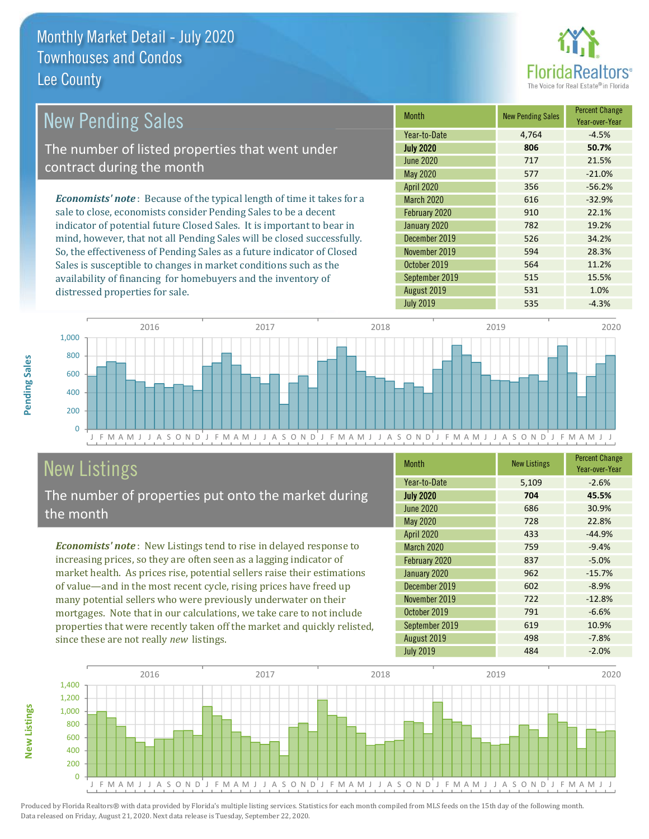distressed properties for sale.



15.5%

1.0%

 $-4.3%$ 

| <b>New Pending Sales</b>                                                       | <b>Month</b>      | <b>New Pending Sales</b> | <b>Percent Change</b><br>Year-over-Year |
|--------------------------------------------------------------------------------|-------------------|--------------------------|-----------------------------------------|
|                                                                                | Year-to-Date      | 4.764                    | $-4.5%$                                 |
| The number of listed properties that went under                                | <b>July 2020</b>  | 806                      | 50.7%                                   |
| contract during the month                                                      | June 2020         | 717                      | 21.5%                                   |
|                                                                                | May 2020          | 577                      | $-21.0%$                                |
|                                                                                | <b>April 2020</b> | 356                      | $-56.2%$                                |
| <b>Economists' note</b> : Because of the typical length of time it takes for a | <b>March 2020</b> | 616                      | $-32.9%$                                |
| sale to close, economists consider Pending Sales to be a decent                | February 2020     | 910                      | 22.1%                                   |
| indicator of potential future Closed Sales. It is important to bear in         | January 2020      | 782                      | 19.2%                                   |
| mind, however, that not all Pending Sales will be closed successfully.         | December 2019     | 526                      | 34.2%                                   |
| So, the effectiveness of Pending Sales as a future indicator of Closed         | November 2019     | 594                      | 28.3%                                   |
| Sales is susceptible to changes in market conditions such as the               | October 2019      | 564                      | 11.2%                                   |

September 2019

August 2019

**July 2019** 

2016 2017 2018 2019 2020 1,000 800 600 400 200  $\overline{0}$ FMAMJ J A S O N D J F M A M J J A S O N D J F M A M J J A S O N D J F M A M A M J J A S O N D J F M A M J J  $\mathbf{J}$ 

# **New Listings**

The number of properties put onto the market during the month

availability of financing for homebuyers and the inventory of

Economists' note: New Listings tend to rise in delayed response to increasing prices, so they are often seen as a lagging indicator of market health. As prices rise, potential sellers raise their estimations of value—and in the most recent cycle, rising prices have freed up many potential sellers who were previously underwater on their mortgages. Note that in our calculations, we take care to not include properties that were recently taken off the market and quickly relisted, since these are not really new listings.

| <b>Month</b>      | <b>New Listings</b> | <b>Percent Change</b><br>Year-over-Year |
|-------------------|---------------------|-----------------------------------------|
| Year-to-Date      | 5,109               | $-2.6%$                                 |
| <b>July 2020</b>  | 704                 | 45.5%                                   |
| June 2020         | 686                 | 30.9%                                   |
| May 2020          | 728                 | 22.8%                                   |
| April 2020        | 433                 | $-44.9%$                                |
| <b>March 2020</b> | 759                 | $-9.4%$                                 |
| February 2020     | 837                 | $-5.0%$                                 |
| January 2020      | 962                 | $-15.7%$                                |
| December 2019     | 602                 | $-8.9%$                                 |
| November 2019     | 722                 | $-12.8%$                                |
| October 2019      | 791                 | $-6.6%$                                 |
| September 2019    | 619                 | 10.9%                                   |
| August 2019       | 498                 | $-7.8%$                                 |
| <b>July 2019</b>  | 484                 | $-2.0%$                                 |

515

531

535



Produced by Florida Realtors® with data provided by Florida's multiple listing services. Statistics for each month compiled from MLS feeds on the 15th day of the following month. Data released on Friday, August 21, 2020. Next data release is Tuesday, September 22, 2020.

**New Listings**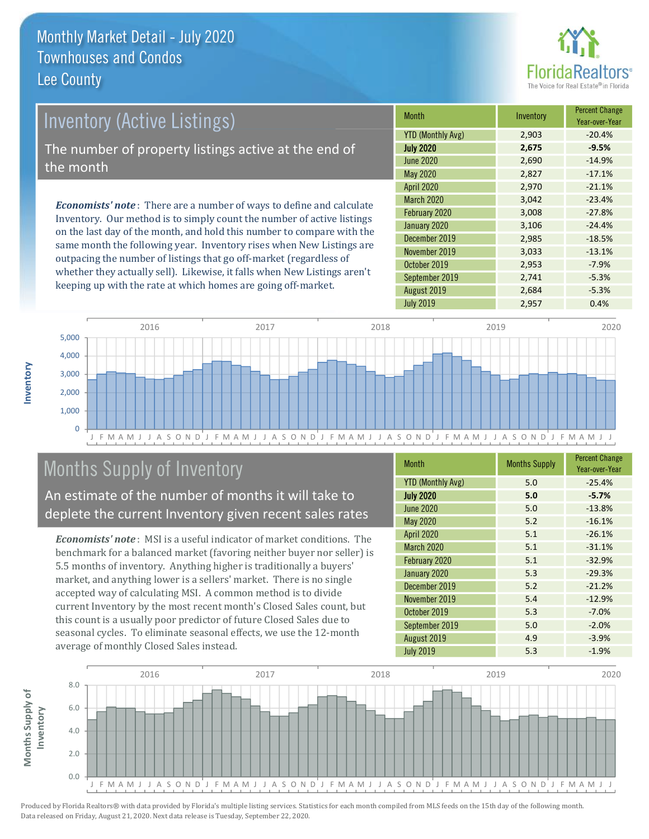

# **Inventory (Active Listings)**

The number of property listings active at the end of the month

**Economists' note:** There are a number of ways to define and calculate Inventory. Our method is to simply count the number of active listings on the last day of the month, and hold this number to compare with the same month the following year. Inventory rises when New Listings are outpacing the number of listings that go off-market (regardless of whether they actually sell). Likewise, it falls when New Listings aren't keeping up with the rate at which homes are going off-market.

| <b>Month</b>             | Inventory | <b>Percent Change</b><br>Year-over-Year |
|--------------------------|-----------|-----------------------------------------|
| <b>YTD (Monthly Avg)</b> | 2,903     | $-20.4%$                                |
| <b>July 2020</b>         | 2,675     | $-9.5%$                                 |
| <b>June 2020</b>         | 2,690     | $-14.9%$                                |
| May 2020                 | 2,827     | $-17.1%$                                |
| <b>April 2020</b>        | 2,970     | $-21.1%$                                |
| March 2020               | 3,042     | $-23.4%$                                |
| February 2020            | 3,008     | $-27.8%$                                |
| January 2020             | 3,106     | $-24.4%$                                |
| December 2019            | 2,985     | $-18.5%$                                |
| November 2019            | 3,033     | $-13.1%$                                |
| October 2019             | 2,953     | $-7.9%$                                 |
| September 2019           | 2,741     | $-5.3%$                                 |
| August 2019              | 2,684     | $-5.3%$                                 |
| <b>July 2019</b>         | 2,957     | 0.4%                                    |



# Months Supply of Inventory

An estimate of the number of months it will take to deplete the current Inventory given recent sales rates

**Economists' note:** MSI is a useful indicator of market conditions. The benchmark for a balanced market (favoring neither buyer nor seller) is 5.5 months of inventory. Anything higher is traditionally a buyers' market, and anything lower is a sellers' market. There is no single accepted way of calculating MSI. A common method is to divide current Inventory by the most recent month's Closed Sales count, but this count is a usually poor predictor of future Closed Sales due to seasonal cycles. To eliminate seasonal effects, we use the 12-month average of monthly Closed Sales instead.

| <b>Month</b>             | <b>Months Supply</b> | <b>Percent Change</b><br>Year-over-Year |
|--------------------------|----------------------|-----------------------------------------|
| <b>YTD (Monthly Avg)</b> | 5.0                  | $-25.4%$                                |
| <b>July 2020</b>         | 5.0                  | $-5.7%$                                 |
| <b>June 2020</b>         | 5.0                  | $-13.8%$                                |
| May 2020                 | 5.2                  | $-16.1%$                                |
| April 2020               | 5.1                  | $-26.1%$                                |
| March 2020               | 5.1                  | $-31.1%$                                |
| February 2020            | 5.1                  | $-32.9%$                                |
| January 2020             | 5.3                  | $-29.3%$                                |
| December 2019            | 5.2                  | $-21.2%$                                |
| November 2019            | 5.4                  | $-12.9%$                                |
| October 2019             | 5.3                  | $-7.0%$                                 |
| September 2019           | 5.0                  | $-2.0%$                                 |
| August 2019              | 4.9                  | $-3.9%$                                 |
| <b>July 2019</b>         | 5.3                  | $-1.9%$                                 |

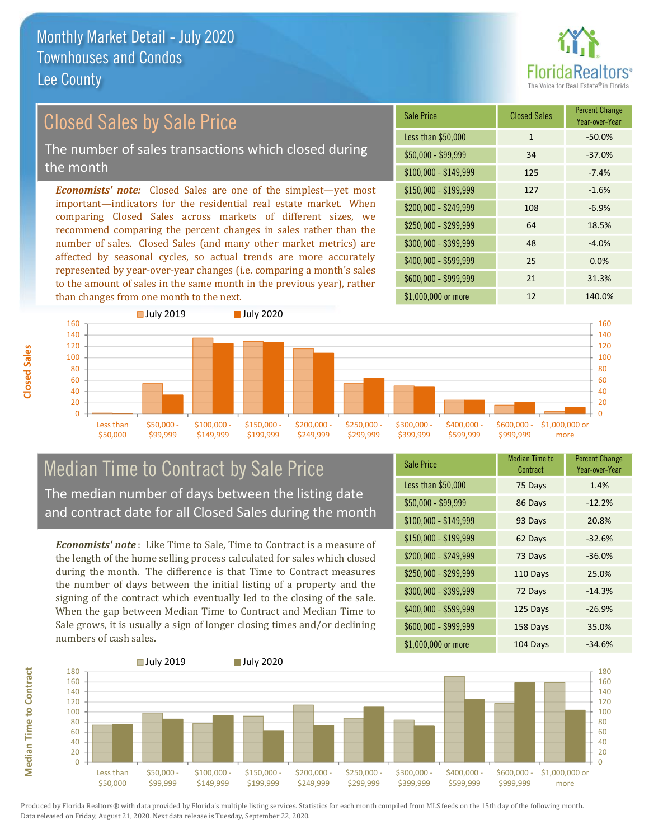

# **Closed Sales by Sale Price**

The number of sales transactions which closed during the month

**Economists' note:** Closed Sales are one of the simplest—yet most important-indicators for the residential real estate market. When comparing Closed Sales across markets of different sizes, we recommend comparing the percent changes in sales rather than the number of sales. Closed Sales (and many other market metrics) are affected by seasonal cycles, so actual trends are more accurately represented by year-over-year changes (i.e. comparing a month's sales to the amount of sales in the same month in the previous year), rather than changes from one month to the next.

| <b>Sale Price</b>     | <b>Closed Sales</b> | <b>Percent Change</b><br>Year-over-Year |
|-----------------------|---------------------|-----------------------------------------|
| Less than \$50,000    | $\mathbf{1}$        | $-50.0%$                                |
| $$50,000 - $99,999$   | 34                  | $-37.0%$                                |
| $$100,000 - $149,999$ | 125                 | $-7.4%$                                 |
| \$150,000 - \$199,999 | 127                 | $-1.6%$                                 |
| \$200,000 - \$249,999 | 108                 | $-6.9%$                                 |
| \$250,000 - \$299,999 | 64                  | 18.5%                                   |
| \$300,000 - \$399,999 | 48                  | $-4.0%$                                 |
| \$400,000 - \$599,999 | 25                  | 0.0%                                    |
| \$600,000 - \$999,999 | 21                  | 31.3%                                   |
| \$1,000,000 or more   | 12                  | 140.0%                                  |



### **Median Time to Contract by Sale Price** The median number of days between the listing date and contract date for all Closed Sales during the month

**Economists' note**: Like Time to Sale. Time to Contract is a measure of the length of the home selling process calculated for sales which closed during the month. The difference is that Time to Contract measures the number of days between the initial listing of a property and the signing of the contract which eventually led to the closing of the sale. When the gap between Median Time to Contract and Median Time to Sale grows, it is usually a sign of longer closing times and/or declining numbers of cash sales.

| <b>Sale Price</b>     | <b>Median Time to</b><br>Contract | <b>Percent Change</b><br>Year-over-Year |
|-----------------------|-----------------------------------|-----------------------------------------|
| Less than \$50,000    | 75 Days                           | 1.4%                                    |
| \$50,000 - \$99,999   | 86 Days                           | $-12.2%$                                |
| $$100,000 - $149,999$ | 93 Days                           | 20.8%                                   |
| \$150,000 - \$199,999 | 62 Days                           | $-32.6%$                                |
| \$200,000 - \$249,999 | 73 Days                           | $-36.0%$                                |
| \$250,000 - \$299,999 | 110 Days                          | 25.0%                                   |
| \$300,000 - \$399,999 | 72 Days                           | $-14.3%$                                |
| \$400,000 - \$599,999 | 125 Days                          | $-26.9%$                                |
| \$600,000 - \$999,999 | 158 Days                          | 35.0%                                   |
| $$1$ 000 000 or more  | $104$ Dave                        | 21.60/                                  |



**Closed Sales**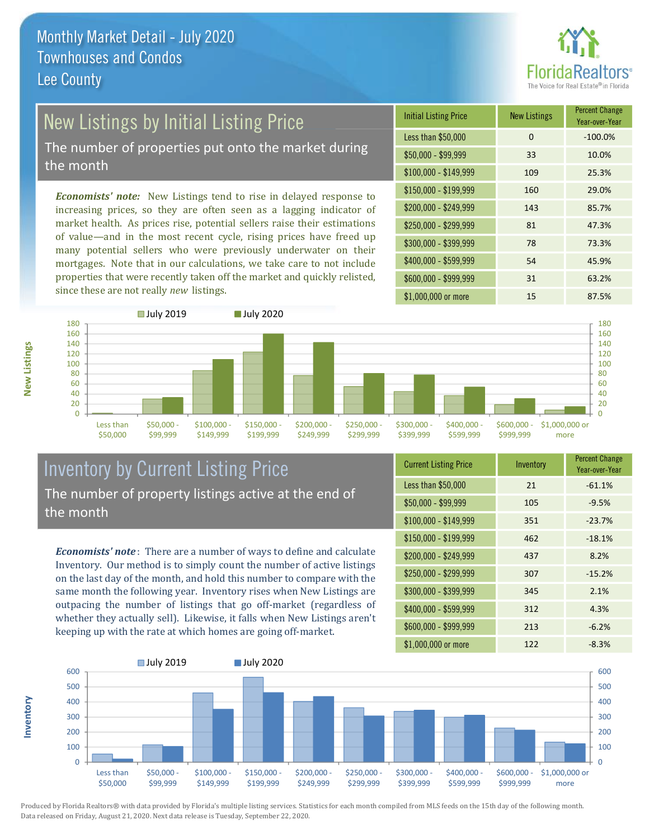

# New Listings by Initial Listing Price

The number of properties put onto the market during the month

Economists' note: New Listings tend to rise in delayed response to increasing prices, so they are often seen as a lagging indicator of market health. As prices rise, potential sellers raise their estimations of value—and in the most recent cycle, rising prices have freed up many potential sellers who were previously underwater on their mortgages. Note that in our calculations, we take care to not include properties that were recently taken off the market and quickly relisted, since these are not really new listings.





### **Inventory by Current Listing Price** The number of property listings active at the end of the month

**Economists' note**: There are a number of ways to define and calculate Inventory. Our method is to simply count the number of active listings on the last day of the month, and hold this number to compare with the same month the following year. Inventory rises when New Listings are outpacing the number of listings that go off-market (regardless of whether they actually sell). Likewise, it falls when New Listings aren't keeping up with the rate at which homes are going off-market.

| <b>Current Listing Price</b> | Inventory | <b>FULLE UTTAILLY</b><br>Year-over-Year |
|------------------------------|-----------|-----------------------------------------|
| Less than \$50,000           | 21        | $-61.1%$                                |
| $$50,000 - $99,999$          | 105       | $-9.5%$                                 |
| $$100,000 - $149,999$        | 351       | $-23.7%$                                |
| \$150,000 - \$199,999        | 462       | $-18.1%$                                |
| $$200,000 - $249,999$        | 437       | 8.2%                                    |
| \$250,000 - \$299,999        | 307       | $-15.2%$                                |
| \$300,000 - \$399,999        | 345       | 2.1%                                    |
| \$400,000 - \$599,999        | 312       | 4.3%                                    |
| \$600,000 - \$999,999        | 213       | $-6.2%$                                 |
| $$1$ 000 000 or more         | 1 7 7     | $-8.3%$                                 |



Produced by Florida Realtors® with data provided by Florida's multiple listing services. Statistics for each month compiled from MLS feeds on the 15th day of the following month. Data released on Friday, August 21, 2020. Next data release is Tuesday, September 22, 2020.

nventory